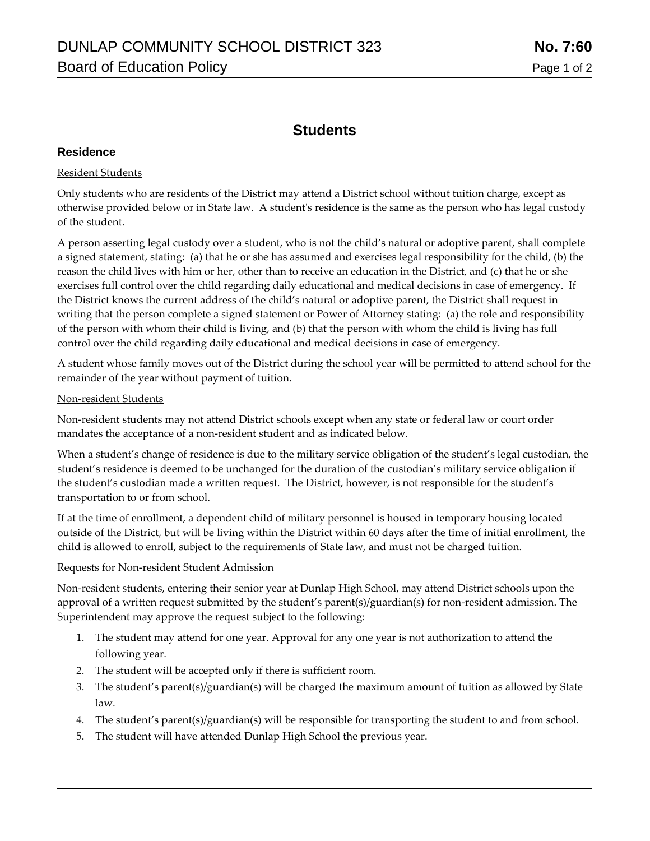# **Students**

# **Residence**

# Resident Students

Only students who are residents of the District may attend a District school without tuition charge, except as otherwise provided below or in State law. A student's residence is the same as the person who has legal custody of the student.

A person asserting legal custody over a student, who is not the child's natural or adoptive parent, shall complete a signed statement, stating: (a) that he or she has assumed and exercises legal responsibility for the child, (b) the reason the child lives with him or her, other than to receive an education in the District, and (c) that he or she exercises full control over the child regarding daily educational and medical decisions in case of emergency. If the District knows the current address of the child's natural or adoptive parent, the District shall request in writing that the person complete a signed statement or Power of Attorney stating: (a) the role and responsibility of the person with whom their child is living, and (b) that the person with whom the child is living has full control over the child regarding daily educational and medical decisions in case of emergency.

A student whose family moves out of the District during the school year will be permitted to attend school for the remainder of the year without payment of tuition.

#### Non-resident Students

Non-resident students may not attend District schools except when any state or federal law or court order mandates the acceptance of a non-resident student and as indicated below.

When a student's change of residence is due to the military service obligation of the student's legal custodian, the student's residence is deemed to be unchanged for the duration of the custodian's military service obligation if the student's custodian made a written request. The District, however, is not responsible for the student's transportation to or from school.

If at the time of enrollment, a dependent child of military personnel is housed in temporary housing located outside of the District, but will be living within the District within 60 days after the time of initial enrollment, the child is allowed to enroll, subject to the requirements of State law, and must not be charged tuition.

## Requests for Non-resident Student Admission

Non-resident students, entering their senior year at Dunlap High School, may attend District schools upon the approval of a written request submitted by the student's parent(s)/guardian(s) for non-resident admission. The Superintendent may approve the request subject to the following:

- 1. The student may attend for one year. Approval for any one year is not authorization to attend the following year.
- 2. The student will be accepted only if there is sufficient room.
- 3. The student's parent(s)/guardian(s) will be charged the maximum amount of tuition as allowed by State law.
- 4. The student's parent(s)/guardian(s) will be responsible for transporting the student to and from school.
- 5. The student will have attended Dunlap High School the previous year.